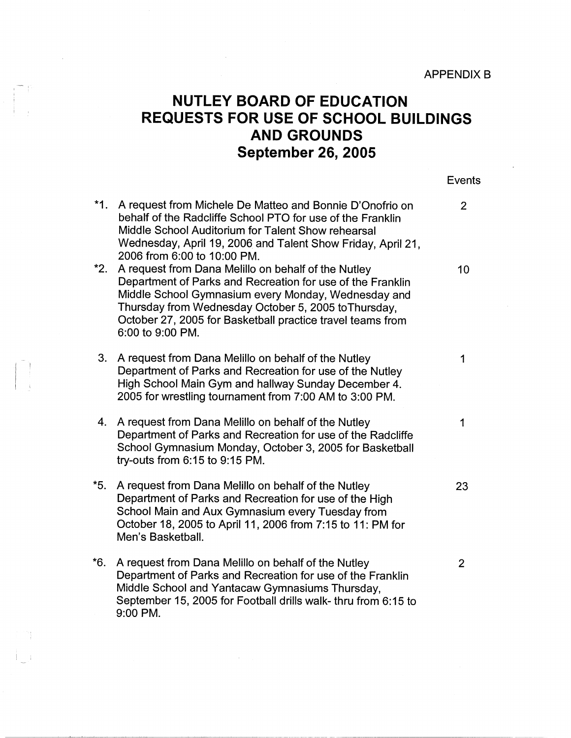## **NUTLEY BOARD OF EDUCATION REQUESTS FOR USE OF SCHOOL BUILDINGS AND GROUNDS September 26, 2005**

Events **\*1.** A request from Michele De Matteo and Bonnie D'Onofrio on 2 behalf of the Radcliffe School PTO for use of the Franklin Middle School Auditorium for Talent Show rehearsal Wednesday, April 19, 2006 and Talent Show Friday, April 21, 2006 from 6:00 to 10:00 PM. **\*2.** A request from Dana Melillo on behalf of the Nutley 10 Department of Parks and Recreation for use of the Franklin Middle School Gymnasium every Monday, Wednesday and Thursday from Wednesday October 5, 2005 to Thursday, October 27, 2005 for Basketball practice travel teams from 6:00 to 9:00 PM. 3. A request from Dana Melillo on behalf of the Nutley 1 Department of Parks and Recreation for use of the Nutley High School Main Gym and hallway Sunday December 4. 2005 for wrestling tournament from 7:00 AM to 3:00 PM. 4. A request from Dana Melillo on behalf of the Nutley 1 Department of Parks and Recreation for use of the Radcliffe School Gymnasium Monday, October 3, 2005 for Basketball try-outs from 6:15 to 9:15 PM. \*5. A request from Dana Melillo on behalf of the Nutley 23 Department of Parks and Recreation for use of the High School Main and Aux Gymnasium every Tuesday from October 18, 2005 to April 11, 2006 from 7:15 to 11: PM for Men's Basketball. \*6. A request from Dana Melillo on behalf of the Nutley 2 Department of Parks and Recreation for use of the Franklin Middle School and Yantacaw Gymnasiums Thursday, September 15, 2005 for Football drills walk- thru from 6:15 to 9:00 PM.

I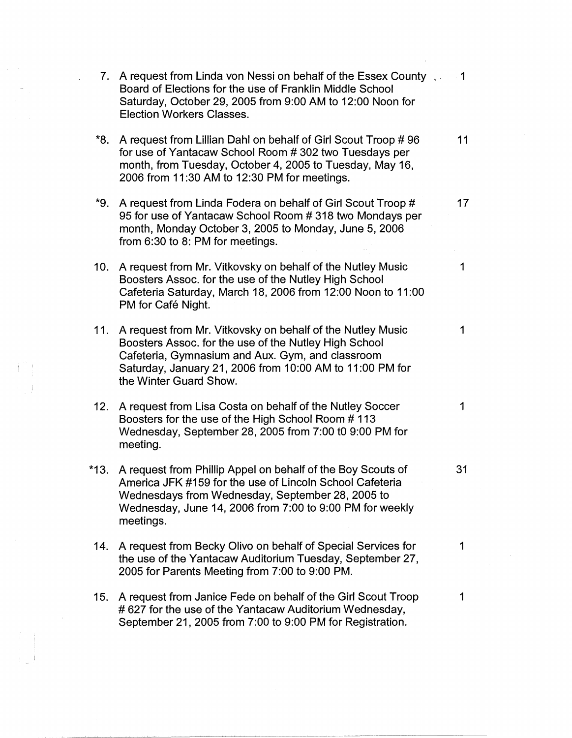|      | 7. A request from Linda von Nessi on behalf of the Essex County<br>Board of Elections for the use of Franklin Middle School<br>Saturday, October 29, 2005 from 9:00 AM to 12:00 Noon for<br>Election Workers Classes.                                             | 1  |
|------|-------------------------------------------------------------------------------------------------------------------------------------------------------------------------------------------------------------------------------------------------------------------|----|
| *8.  | A request from Lillian Dahl on behalf of Girl Scout Troop #96<br>for use of Yantacaw School Room #302 two Tuesdays per<br>month, from Tuesday, October 4, 2005 to Tuesday, May 16,<br>2006 from 11:30 AM to 12:30 PM for meetings.                                | 11 |
|      | *9. A request from Linda Fodera on behalf of Girl Scout Troop #<br>95 for use of Yantacaw School Room #318 two Mondays per<br>month, Monday October 3, 2005 to Monday, June 5, 2006<br>from 6:30 to 8: PM for meetings.                                           | 17 |
| 10.  | A request from Mr. Vitkovsky on behalf of the Nutley Music<br>Boosters Assoc. for the use of the Nutley High School<br>Cafeteria Saturday, March 18, 2006 from 12:00 Noon to 11:00<br>PM for Café Night.                                                          | 1  |
|      | 11. A request from Mr. Vitkovsky on behalf of the Nutley Music<br>Boosters Assoc. for the use of the Nutley High School<br>Cafeteria, Gymnasium and Aux. Gym, and classroom<br>Saturday, January 21, 2006 from 10:00 AM to 11:00 PM for<br>the Winter Guard Show. | 1  |
| 12.  | A request from Lisa Costa on behalf of the Nutley Soccer<br>Boosters for the use of the High School Room #113<br>Wednesday, September 28, 2005 from 7:00 t0 9:00 PM for<br>meeting.                                                                               | 1  |
| *13. | A request from Phillip Appel on behalf of the Boy Scouts of<br>America JFK #159 for the use of Lincoln School Cafeteria<br>Wednesdays from Wednesday, September 28, 2005 to<br>Wednesday, June 14, 2006 from 7:00 to 9:00 PM for weekly<br>meetings.              | 31 |
| 14.  | A request from Becky Olivo on behalf of Special Services for<br>the use of the Yantacaw Auditorium Tuesday, September 27,<br>2005 for Parents Meeting from 7:00 to 9:00 PM.                                                                                       | 1  |
| 15.  | A request from Janice Fede on behalf of the Girl Scout Troop<br>#627 for the use of the Yantacaw Auditorium Wednesday,<br>September 21, 2005 from 7:00 to 9:00 PM for Registration.                                                                               | 1  |

 $\begin{bmatrix} 1 & 1 \\ 1 & 1 \\ 1 & 1 \end{bmatrix}$